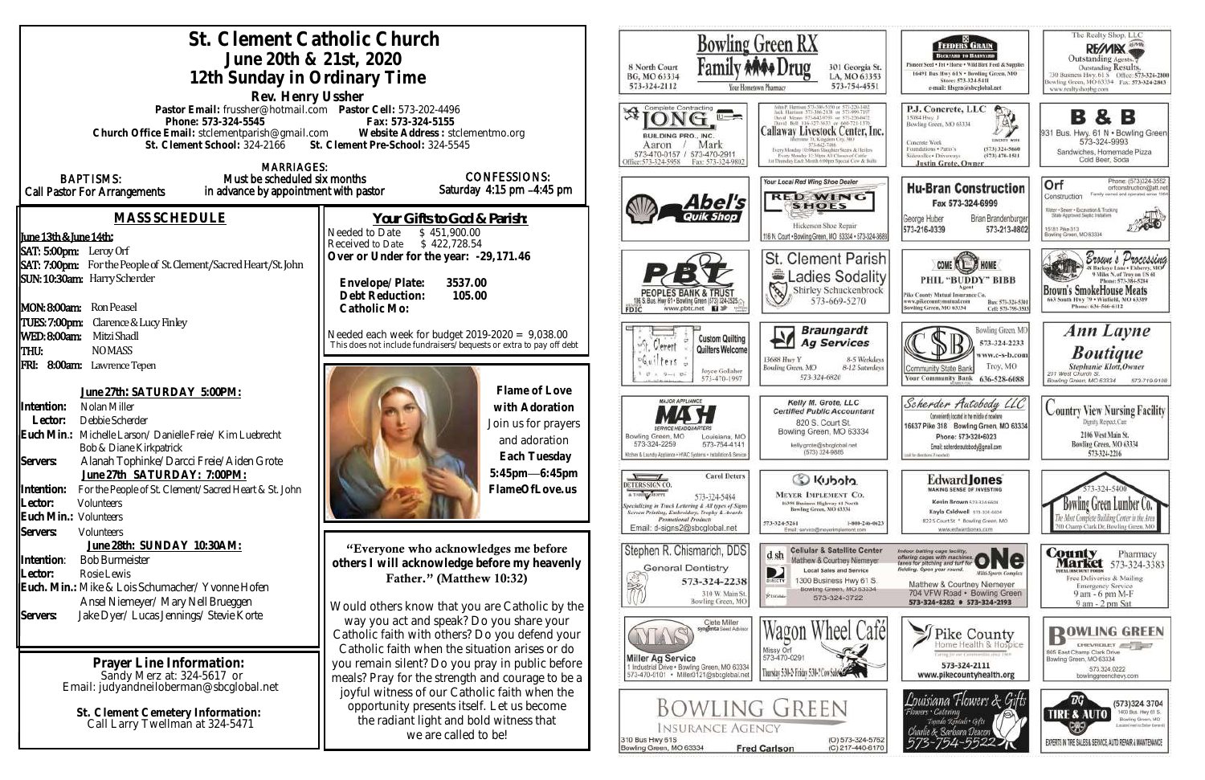